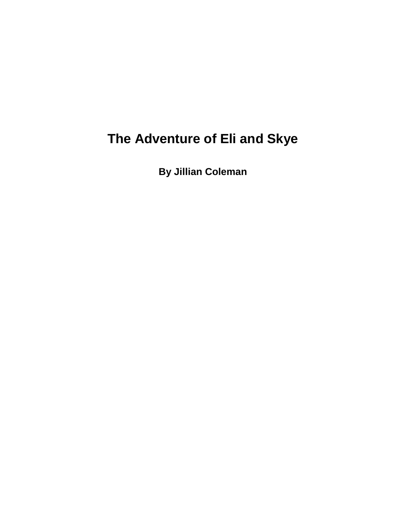# **The Adventure of Eli and Skye**

**By Jillian Coleman**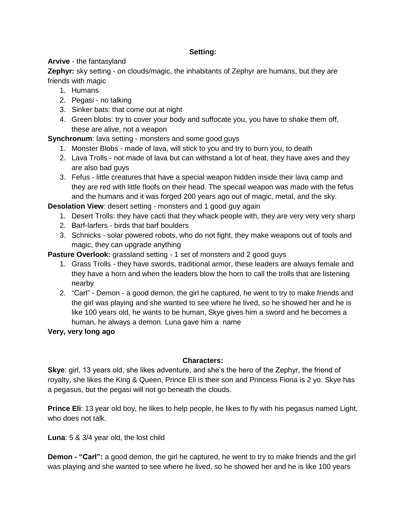## **Setting:**

## **Arvive** - the fantasyland

**Zephyr:** sky setting - on clouds/magic, the inhabitants of Zephyr are humans, but they are friends with magic

- 1. Humans
- 2. Pegasi no talking
- 3. Sinker bats: that come out at night
- 4. Green blobs: try to cover your body and suffocate you, you have to shake them off, these are alive, not a weapon

**Synchronum**: lava setting - monsters and some good guys

- 1. Monster Blobs made of lava, will stick to you and try to burn you, to death
- 2. Lava Trolls not made of lava but can withstand a lot of heat, they have axes and they are also bad guys
- 3. Fefus little creatures that have a special weapon hidden inside their lava camp and they are red with little floofs on their head. The specail weapon was made with the fefus and the humans and it was forged 200 years ago out of magic, metal, and the sky.

**Desolation View:** desert setting - monsters and 1 good guy again

- 1. Desert Trolls: they have cacti that they whack people with, they are very very very sharp
- 2. Barf-larfers birds that barf boulders
- 3. Schnicks solar powered robots, who do not fight, they make weapons out of tools and magic, they can upgrade anything

**Pasture Overlook:** grassland setting - 1 set of monsters and 2 good guys

- 1. Grass Trolls they have swords, traditional armor, these leaders are always female and they have a horn and when the leaders blow the horn to call the trolls that are listening nearby
- 2. "Carl" Demon a good demon, the girl he captured, he went to try to make friends and the girl was playing and she wanted to see where he lived, so he showed her and he is like 100 years old, he wants to be human, Skye gives him a sword and he becomes a human, he always a demon. Luna gave him a name

**Very, very long ago**

## **Characters:**

**Skye**: girl, 13 years old, she likes adventure, and she's the hero of the Zephyr, the friend of royalty, she likes the King & Queen, Prince Eli is their son and Princess Fiona is 2 yo. Skye has a pegasus, but the pegasi will not go beneath the clouds.

**Prince Eli**: 13 year old boy, he likes to help people, he likes to fly with his pegasus named Light, who does not talk.

**Luna**: 5 & 3/4 year old, the lost child

**Demon - "Carl":** a good demon, the girl he captured, he went to try to make friends and the girl was playing and she wanted to see where he lived, so he showed her and he is like 100 years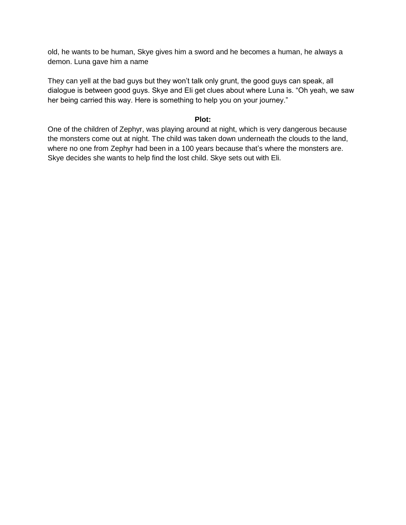old, he wants to be human, Skye gives him a sword and he becomes a human, he always a demon. Luna gave him a name

They can yell at the bad guys but they won't talk only grunt, the good guys can speak, all dialogue is between good guys. Skye and EIi get clues about where Luna is. "Oh yeah, we saw her being carried this way. Here is something to help you on your journey."

#### **Plot:**

One of the children of Zephyr, was playing around at night, which is very dangerous because the monsters come out at night. The child was taken down underneath the clouds to the land, where no one from Zephyr had been in a 100 years because that's where the monsters are. Skye decides she wants to help find the lost child. Skye sets out with Eli.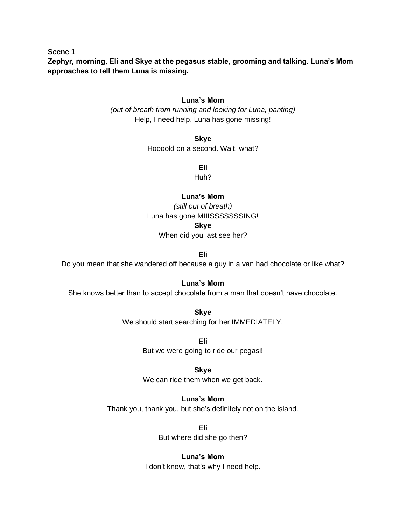**Scene 1**

**Zephyr, morning, Eli and Skye at the pegasus stable, grooming and talking. Luna's Mom approaches to tell them Luna is missing.** 

#### **Luna's Mom**

*(out of breath from running and looking for Luna, panting)* Help, I need help. Luna has gone missing!

**Skye**

Hoooold on a second. Wait, what?

**Eli**

Huh?

## **Luna's Mom**

*(still out of breath)* Luna has gone MIIISSSSSSSING!

**Skye**

When did you last see her?

**Eli**

Do you mean that she wandered off because a guy in a van had chocolate or like what?

**Luna's Mom**

She knows better than to accept chocolate from a man that doesn't have chocolate.

**Skye** We should start searching for her IMMEDIATELY.

> **Eli** But we were going to ride our pegasi!

> > **Skye**

We can ride them when we get back.

# **Luna's Mom**

Thank you, thank you, but she's definitely not on the island.

**Eli** But where did she go then?

**Luna's Mom** I don't know, that's why I need help.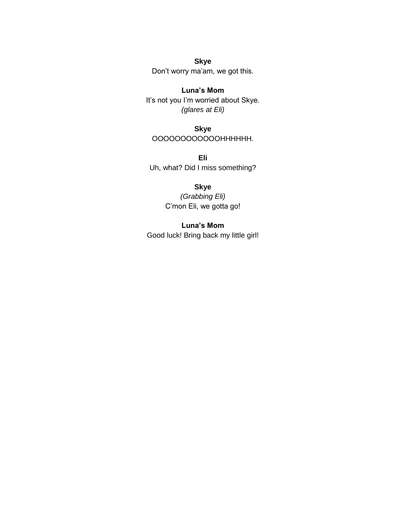**Skye** Don't worry ma'am, we got this.

**Luna's Mom** It's not you I'm worried about Skye. *(glares at Eli)*

**Skye** OOOOOOOOOOOOHHHHHH.

**Eli** Uh, what? Did I miss something?

# **Skye**

*(Grabbing Eli)* C'mon Eli, we gotta go!

**Luna's Mom**

Good luck! Bring back my little girl!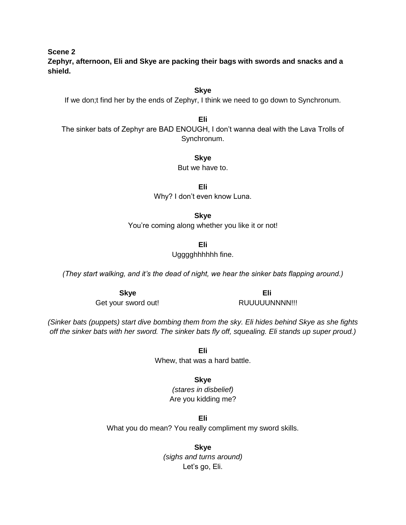**Scene 2**

**Zephyr, afternoon, Eli and Skye are packing their bags with swords and snacks and a shield.** 

If we don;t find her by the ends of Zephyr, I think we need to go down to Synchronum.

The sinker bats of Zephyr are BAD ENOUGH, I don't wanna deal with the Lava Trolls of Synchronum.

**Eli**

**Skye** But we have to.

**Eli** Why? I don't even know Luna.

**Skye** You're coming along whether you like it or not!

**Eli**

Ugggghhhhhh fine.

*(They start walking, and it's the dead of night, we hear the sinker bats flapping around.)*

Get your sword out! RUUUUUNNNN!!!

*(Sinker bats (puppets) start dive bombing them from the sky. Eli hides behind Skye as she fights off the sinker bats with her sword. The sinker bats fly off, squealing. Eli stands up super proud.)*

> **Eli** Whew, that was a hard battle.

> > **Skye** *(stares in disbelief)*

Are you kidding me?

**Eli** What you do mean? You really compliment my sword skills.

> **Skye** *(sighs and turns around)* Let's go, Eli.

**Skye Eli**

# **Skye**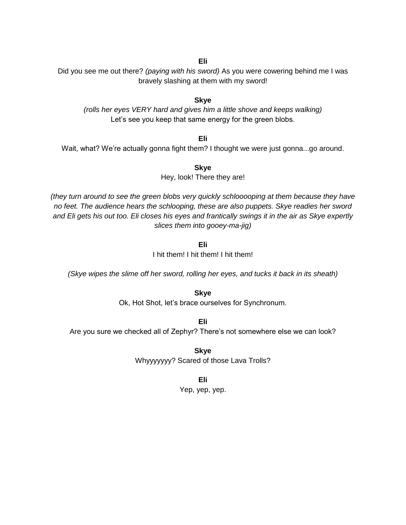## **Eli**

Did you see me out there? *(paying with his sword)* As you were cowering behind me I was bravely slashing at them with my sword!

#### **Skye**

*(rolls her eyes VERY hard and gives him a little shove and keeps walking)* Let's see you keep that same energy for the green blobs.

**Eli**

Wait, what? We're actually gonna fight them? I thought we were just gonna...go around.

**Skye**

Hey, look! There they are!

*(they turn around to see the green blobs very quickly schlooooping at them because they have no feet. The audience hears the schlooping, these are also puppets. Skye readies her sword and Eli gets his out too. Eli closes his eyes and frantically swings it in the air as Skye expertly slices them into gooey-ma-jig)*

**Eli**

I hit them! I hit them! I hit them!

*(Skye wipes the slime off her sword, rolling her eyes, and tucks it back in its sheath)*

**Skye**

Ok, Hot Shot, let's brace ourselves for Synchronum.

**Eli** Are you sure we checked all of Zephyr? There's not somewhere else we can look?

> **Skye** Whyyyyyyy? Scared of those Lava Trolls?

> > **Eli**

Yep, yep, yep.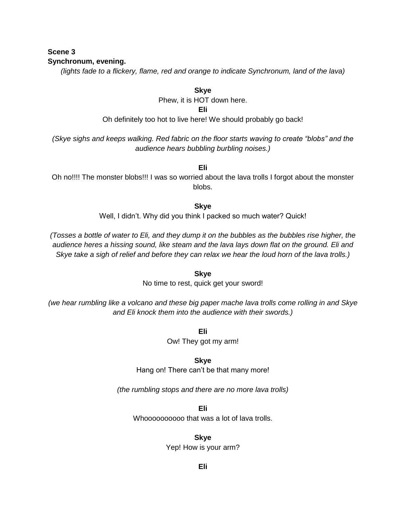## **Scene 3 Synchronum, evening.**

*(lights fade to a flickery, flame, red and orange to indicate Synchronum, land of the lava)*

**Skye**

Phew, it is HOT down here.

**Eli**

Oh definitely too hot to live here! We should probably go back!

*(Skye sighs and keeps walking. Red fabric on the floor starts waving to create "blobs" and the audience hears bubbling burbling noises.)*

**Eli**

Oh no!!!! The monster blobs!!! I was so worried about the lava trolls I forgot about the monster blobs.

**Skye**

Well, I didn't. Why did you think I packed so much water? Quick!

*(Tosses a bottle of water to Eli, and they dump it on the bubbles as the bubbles rise higher, the audience heres a hissing sound, like steam and the lava lays down flat on the ground. Eli and Skye take a sigh of relief and before they can relax we hear the loud horn of the lava trolls.)*

**Skye**

No time to rest, quick get your sword!

*(we hear rumbling like a volcano and these big paper mache lava trolls come rolling in and Skye and Eli knock them into the audience with their swords.)*

**Eli**

Ow! They got my arm!

**Skye**

Hang on! There can't be that many more!

*(the rumbling stops and there are no more lava trolls)*

**Eli**

Whoooooooooo that was a lot of lava trolls.

**Skye**

Yep! How is your arm?

**Eli**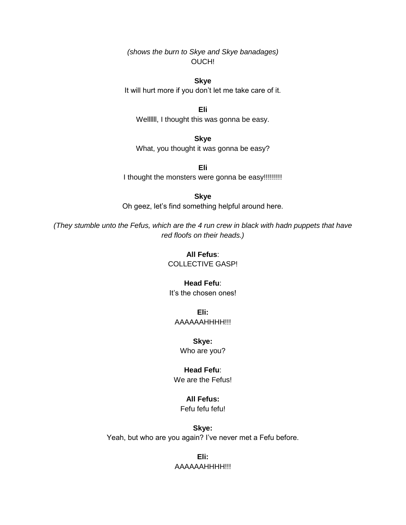*(shows the burn to Skye and Skye banadages)* OUCH!

**Skye** It will hurt more if you don't let me take care of it.

**Eli** Wellllll, I thought this was gonna be easy.

**Skye** What, you thought it was gonna be easy?

**Eli** I thought the monsters were gonna be easy!!!!!!!!!!

**Skye** Oh geez, let's find something helpful around here.

*(They stumble unto the Fefus, which are the 4 run crew in black with hadn puppets that have red floofs on their heads.)*

> **All Fefus**: COLLECTIVE GASP!

**Head Fefu**: It's the chosen ones!

**Eli:** AAAAAAHHHH!!!

**Skye:** Who are you?

**Head Fefu**: We are the Fefus!

**All Fefus:**

Fefu fefu fefu!

**Skye:** Yeah, but who are you again? I've never met a Fefu before.

> **Eli:** AAAAAAHHHH!!!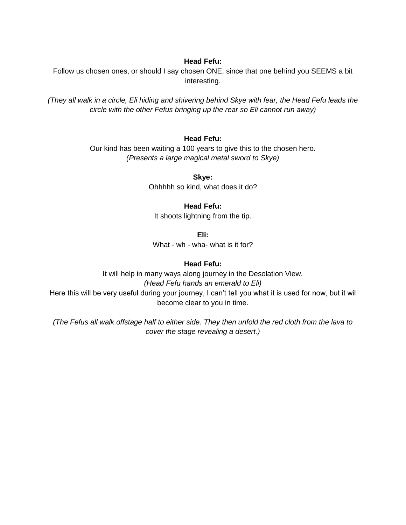## **Head Fefu:**

Follow us chosen ones, or should I say chosen ONE, since that one behind you SEEMS a bit interesting.

*(They all walk in a circle, Eli hiding and shivering behind Skye with fear, the Head Fefu leads the circle with the other Fefus bringing up the rear so Eli cannot run away)*

## **Head Fefu:**

Our kind has been waiting a 100 years to give this to the chosen hero. *(Presents a large magical metal sword to Skye)*

> **Skye:** Ohhhhh so kind, what does it do?

## **Head Fefu:**

It shoots lightning from the tip.

**Eli:**

What - wh - wha- what is it for?

## **Head Fefu:**

It will help in many ways along journey in the Desolation View. *(Head Fefu hands an emerald to Eli)* Here this will be very useful during your journey, I can't tell you what it is used for now, but it wil become clear to you in time.

*(The Fefus all walk offstage half to either side. They then unfold the red cloth from the lava to cover the stage revealing a desert.)*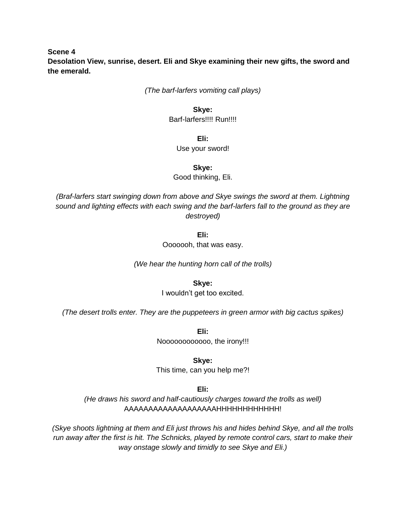**Scene 4 Desolation View, sunrise, desert. Eli and Skye examining their new gifts, the sword and the emerald.** 

*(The barf-larfers vomiting call plays)*

**Skye:** Barf-larfers!!!! Run!!!!

**Eli:**

Use your sword!

**Skye:**

Good thinking, Eli.

*(Braf-larfers start swinging down from above and Skye swings the sword at them. Lightning sound and lighting effects with each swing and the barf-larfers fall to the ground as they are destroyed)*

**Eli:**

Ooooooh, that was easy.

*(We hear the hunting horn call of the trolls)*

**Skye:**

I wouldn't get too excited.

*(The desert trolls enter. They are the puppeteers in green armor with big cactus spikes)*

**Eli:** Noooooooooooo, the irony!!!

**Skye:**

This time, can you help me?!

**Eli:**

*(He draws his sword and half-cautiously charges toward the trolls as well)* AAAAAAAAAAAAAAAAAAAHHHHHHHHHHHH!

*(Skye shoots lightning at them and Eli just throws his and hides behind Skye, and all the trolls run away after the first is hit. The Schnicks, played by remote control cars, start to make their way onstage slowly and timidly to see Skye and Eli.)*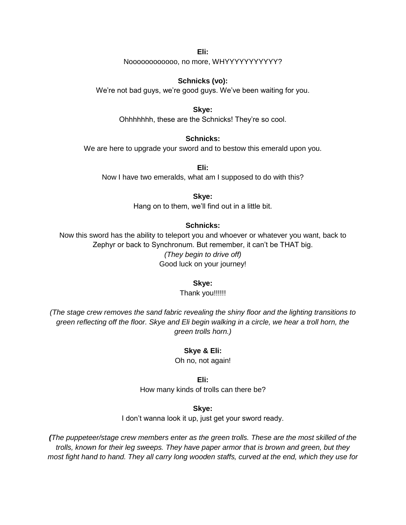**Eli:** Noooooooooooo, no more, WHYYYYYYYYYYY?

**Schnicks (vo):**

We're not bad guys, we're good guys. We've been waiting for you.

#### **Skye:**

Ohhhhhhh, these are the Schnicks! They're so cool.

#### **Schnicks:**

We are here to upgrade your sword and to bestow this emerald upon you.

**Eli:** Now I have two emeralds, what am I supposed to do with this?

**Skye:**

Hang on to them, we'll find out in a little bit.

#### **Schnicks:**

Now this sword has the ability to teleport you and whoever or whatever you want, back to Zephyr or back to Synchronum. But remember, it can't be THAT big. *(They begin to drive off)* Good luck on your journey!

#### **Skye:**

Thank you!!!!!!

*(The stage crew removes the sand fabric revealing the shiny floor and the lighting transitions to green reflecting off the floor. Skye and Eli begin walking in a circle, we hear a troll horn, the green trolls horn.)*

#### **Skye & Eli:**

Oh no, not again!

#### **Eli:**

How many kinds of trolls can there be?

#### **Skye:**

I don't wanna look it up, just get your sword ready.

*(The puppeteer/stage crew members enter as the green trolls. These are the most skilled of the trolls, known for their leg sweeps. They have paper armor that is brown and green, but they most fight hand to hand. They all carry long wooden staffs, curved at the end, which they use for*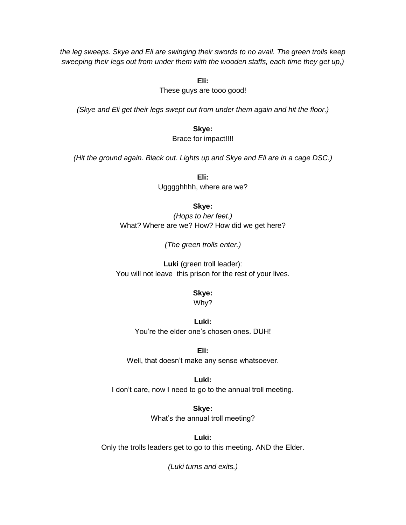*the leg sweeps. Skye and Eli are swinging their swords to no avail. The green trolls keep sweeping their legs out from under them with the wooden staffs, each time they get up,)*

**Eli:**

These guys are tooo good!

*(Skye and Eli get their legs swept out from under them again and hit the floor.)*

**Skye:** Brace for impact!!!!

*(Hit the ground again. Black out. Lights up and Skye and Eli are in a cage DSC.)*

**Eli:** Ugggghhhh, where are we?

#### **Skye:**

*(Hops to her feet.)* What? Where are we? How? How did we get here?

*(The green trolls enter.)*

**Luki** (green troll leader): You will not leave this prison for the rest of your lives.

#### **Skye:**

Why?

**Luki:** You're the elder one's chosen ones. DUH!

**Eli:** Well, that doesn't make any sense whatsoever.

#### **Luki:**

I don't care, now I need to go to the annual troll meeting.

**Skye:** What's the annual troll meeting?

**Luki:** Only the trolls leaders get to go to this meeting. AND the Elder.

*(Luki turns and exits.)*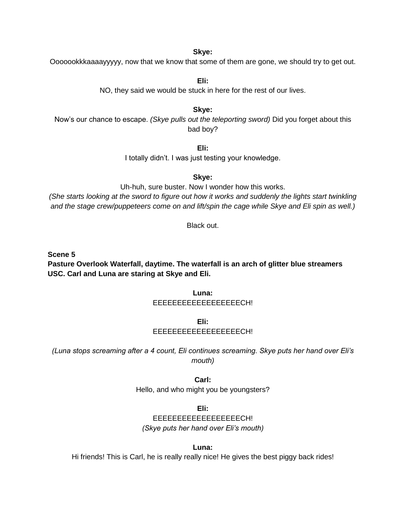**Skye:**

Ooooookkkaaaayyyyy, now that we know that some of them are gone, we should try to get out.

**Eli:** NO, they said we would be stuck in here for the rest of our lives.

**Skye:**

Now's our chance to escape. *(Skye pulls out the teleporting sword)* Did you forget about this bad boy?

**Eli:**

I totally didn't. I was just testing your knowledge.

**Skye:**

Uh-huh, sure buster. Now I wonder how this works.

*(She starts looking at the sword to figure out how it works and suddenly the lights start twinkling and the stage crew/puppeteers come on and lift/spin the cage while Skye and Eli spin as well.)*

Black out.

**Scene 5**

**Pasture Overlook Waterfall, daytime. The waterfall is an arch of glitter blue streamers USC. Carl and Luna are staring at Skye and Eli.** 

> **Luna:** EEEEEEEEEEEEEEEEEECH!

> > **Eli:**

# EEEEEEEEEEEEEEEEEECH!

*(Luna stops screaming after a 4 count, Eli continues screaming. Skye puts her hand over Eli's mouth)*

**Carl:**

Hello, and who might you be youngsters?

**Eli:**

EEEEEEEEEEEEEEEEEECH! *(Skye puts her hand over Eli's mouth)*

**Luna:**

Hi friends! This is Carl, he is really really nice! He gives the best piggy back rides!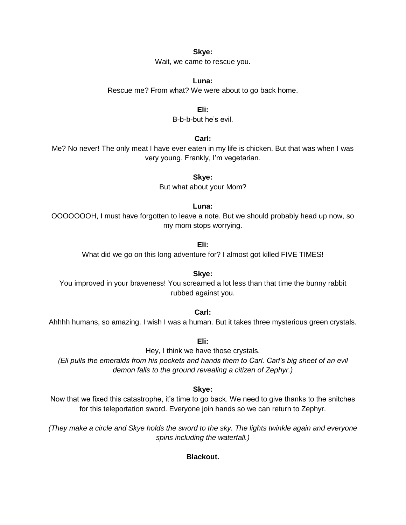**Skye:**

Wait, we came to rescue you.

**Luna:** Rescue me? From what? We were about to go back home.

**Eli:**

B-b-b-but he's evil.

**Carl:**

Me? No never! The only meat I have ever eaten in my life is chicken. But that was when I was very young. Frankly, I'm vegetarian.

**Skye:**

But what about your Mom?

**Luna:**

OOOOOOOH, I must have forgotten to leave a note. But we should probably head up now, so my mom stops worrying.

**Eli:**

What did we go on this long adventure for? I almost got killed FIVE TIMES!

**Skye:** You improved in your braveness! You screamed a lot less than that time the bunny rabbit rubbed against you.

**Carl:**

Ahhhh humans, so amazing. I wish I was a human. But it takes three mysterious green crystals.

**Eli:**

Hey, I think we have those crystals. *(Eli pulls the emeralds from his pockets and hands them to Carl. Carl's big sheet of an evil demon falls to the ground revealing a citizen of Zephyr.)*

**Skye:**

Now that we fixed this catastrophe, it's time to go back. We need to give thanks to the snitches for this teleportation sword. Everyone join hands so we can return to Zephyr.

*(They make a circle and Skye holds the sword to the sky. The lights twinkle again and everyone spins including the waterfall.)*

**Blackout.**